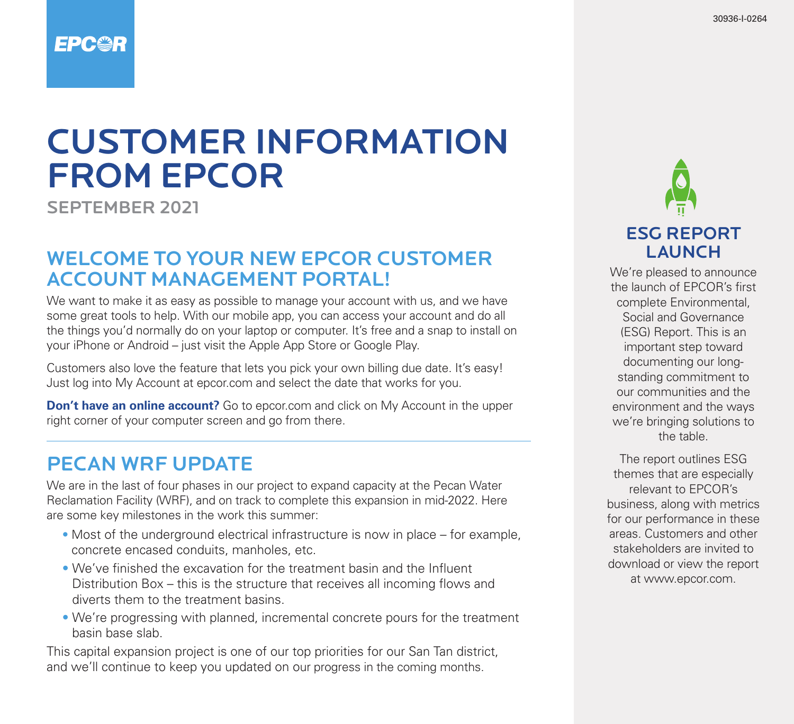### **EPC@R**

# CUSTOMER INFORMATION FROM EPCOR

SEPTEMBER 2021

#### WELCOME TO YOUR NEW EPCOR CUSTOMER ACCOUNT MANAGEMENT PORTAL!

We want to make it as easy as possible to manage your account with us, and we have some great tools to help. With our mobile app, you can access your account and do all the things you'd normally do on your laptop or computer. It's free and a snap to install on your iPhone or Android – just visit the Apple App Store or Google Play.

Customers also love the feature that lets you pick your own billing due date. It's easy! Just log into My Account at epcor.com and select the date that works for you.

**Don't have an online account?** Go to epcor.com and click on My Account in the upper right corner of your computer screen and go from there.

#### PECAN WRF UPDATE

We are in the last of four phases in our project to expand capacity at the Pecan Water Reclamation Facility (WRF), and on track to complete this expansion in mid-2022. Here are some key milestones in the work this summer:

- Most of the underground electrical infrastructure is now in place for example, concrete encased conduits, manholes, etc.
- We've finished the excavation for the treatment basin and the Influent Distribution Box – this is the structure that receives all incoming flows and diverts them to the treatment basins.
- We're progressing with planned, incremental concrete pours for the treatment basin base slab.

This capital expansion project is one of our top priorities for our San Tan district, and we'll continue to keep you updated on our progress in the coming months.



We're pleased to announce the launch of EPCOR's first complete Environmental, Social and Governance (ESG) Report. This is an important step toward documenting our longstanding commitment to our communities and the environment and the ways we're bringing solutions to the table.

The report outlines ESG themes that are especially relevant to EPCOR's business, along with metrics for our performance in these areas. Customers and other stakeholders are invited to download or view the report at www.epcor.com.